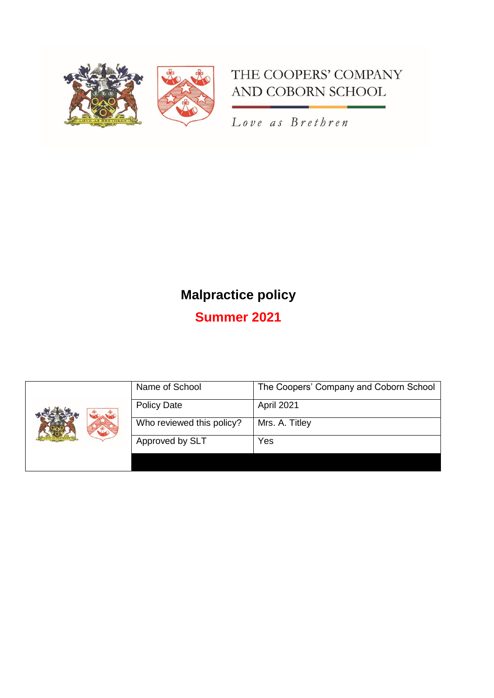

# THE COOPERS' COMPANY AND COBORN SCHOOL

Love as Brethren

# **Malpractice policy**

**Summer 2021**

|  | Name of School            | The Coopers' Company and Coborn School |
|--|---------------------------|----------------------------------------|
|  | <b>Policy Date</b>        | April 2021                             |
|  | Who reviewed this policy? | Mrs. A. Titley                         |
|  | Approved by SLT           | Yes                                    |
|  |                           |                                        |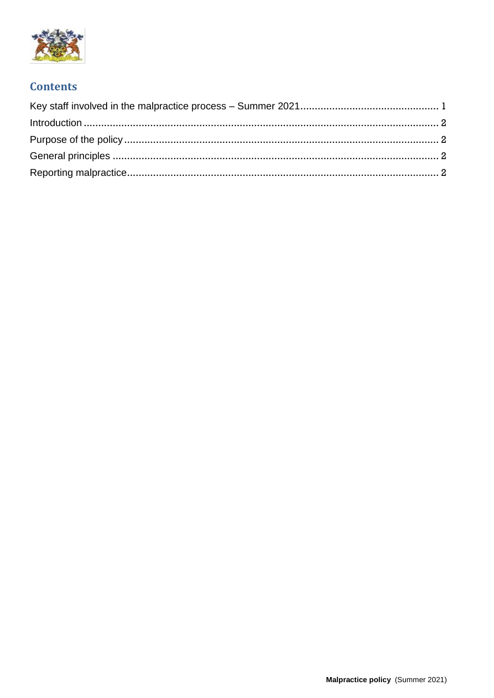

## **Contents**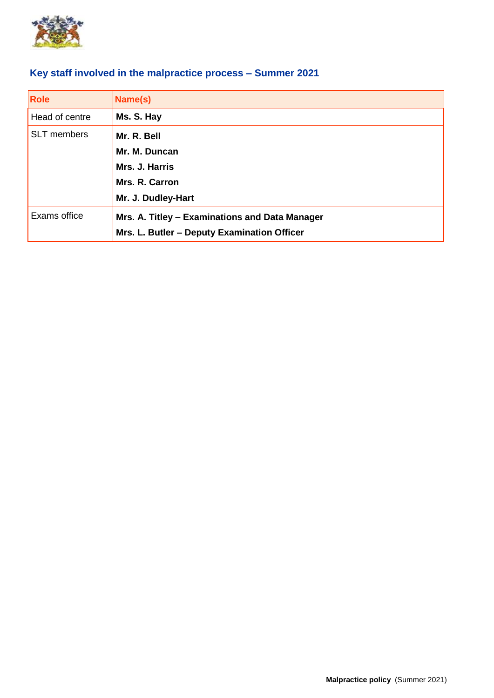

## <span id="page-2-0"></span>**Key staff involved in the malpractice process – Summer 2021**

| <b>Role</b>        | Name(s)                                        |
|--------------------|------------------------------------------------|
| Head of centre     | Ms. S. Hay                                     |
| <b>SLT</b> members | Mr. R. Bell                                    |
|                    | Mr. M. Duncan                                  |
|                    | Mrs. J. Harris                                 |
|                    | Mrs. R. Carron                                 |
|                    | Mr. J. Dudley-Hart                             |
| Exams office       | Mrs. A. Titley - Examinations and Data Manager |
|                    | Mrs. L. Butler - Deputy Examination Officer    |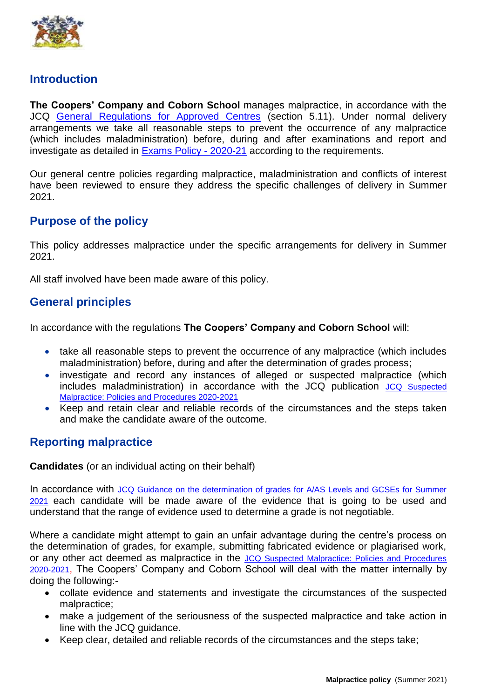

#### <span id="page-3-0"></span>**Introduction**

**The Coopers' Company and Coborn School** manages malpractice, in accordance with the JCQ [General Regulations for Approved Centres](https://www.jcq.org.uk/exams-office/general-regulations/) (section 5.11). Under normal delivery arrangements we take all reasonable steps to prevent the occurrence of any malpractice (which includes maladministration) before, during and after examinations and report and investigate as detailed in [Exams Policy -](https://www.cooperscoborn.org.uk/wp-content/uploads/2021/03/UPDATED-Exams-policy-V2.pdf) 2020-21 according to the requirements.

Our general centre policies regarding malpractice, maladministration and conflicts of interest have been reviewed to ensure they address the specific challenges of delivery in Summer 2021.

### <span id="page-3-1"></span>**Purpose of the policy**

This policy addresses malpractice under the specific arrangements for delivery in Summer 2021.

All staff involved have been made aware of this policy.

#### <span id="page-3-2"></span>**General principles**

In accordance with the regulations **The Coopers' Company and Coborn School** will:

- take all reasonable steps to prevent the occurrence of any malpractice (which includes maladministration) before, during and after the determination of grades process;
- investigate and record any instances of alleged or suspected malpractice (which includes maladministration) in accordance with the JCQ publication [JCQ Suspected](https://www.jcq.org.uk/exams-office/malpractice/)  [Malpractice: Policies and Procedures 2020-2021](https://www.jcq.org.uk/exams-office/malpractice/)
- Keep and retain clear and reliable records of the circumstances and the steps taken and make the candidate aware of the outcome.

#### <span id="page-3-3"></span>**Reporting malpractice**

**Candidates** (or an individual acting on their behalf)

In accordance with JCQ Guidance on the determination of grades for A/AS Levels and GCSEs for Summer [2021](https://www.jcq.org.uk/summer-2021-arrangements/) each candidate will be made aware of the evidence that is going to be used and understand that the range of evidence used to determine a grade is not negotiable.

Where a candidate might attempt to gain an unfair advantage during the centre's process on the determination of grades, for example, submitting fabricated evidence or plagiarised work, or any other act deemed as malpractice in the [JCQ Suspected Malpractice: Policies and Procedures](https://www.jcq.org.uk/exams-office/malpractice/)  [2020-2021](https://www.jcq.org.uk/exams-office/malpractice/), The Coopers' Company and Coborn School will deal with the matter internally by doing the following:-

- collate evidence and statements and investigate the circumstances of the suspected malpractice;
- make a judgement of the seriousness of the suspected malpractice and take action in line with the JCQ guidance.
- Keep clear, detailed and reliable records of the circumstances and the steps take;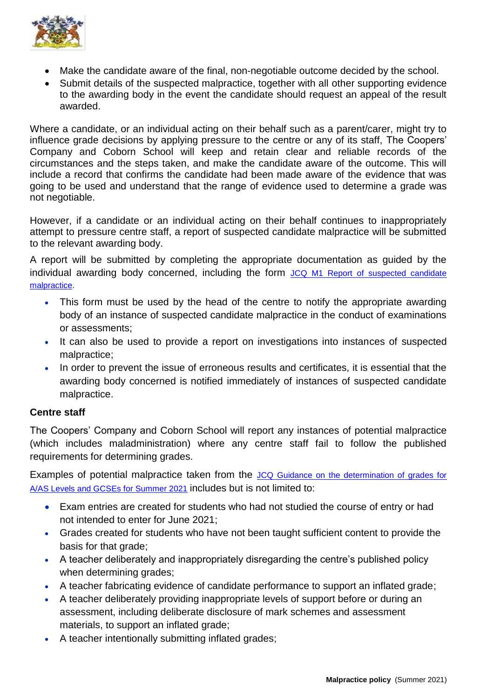

- Make the candidate aware of the final, non-negotiable outcome decided by the school.
- Submit details of the suspected malpractice, together with all other supporting evidence to the awarding body in the event the candidate should request an appeal of the result awarded.

Where a candidate, or an individual acting on their behalf such as a parent/carer, might try to influence grade decisions by applying pressure to the centre or any of its staff, The Coopers' Company and Coborn School will keep and retain clear and reliable records of the circumstances and the steps taken, and make the candidate aware of the outcome. This will include a record that confirms the candidate had been made aware of the evidence that was going to be used and understand that the range of evidence used to determine a grade was not negotiable.

However, if a candidate or an individual acting on their behalf continues to inappropriately attempt to pressure centre staff, a report of suspected candidate malpractice will be submitted to the relevant awarding body.

A report will be submitted by completing the appropriate documentation as guided by the individual awarding body concerned, including the form JCQ M1 Report of suspected candidate [malpractice.](https://www.jcq.org.uk/exams-office/malpractice/)

- This form must be used by the head of the centre to notify the appropriate awarding body of an instance of suspected candidate malpractice in the conduct of examinations or assessments;
- It can also be used to provide a report on investigations into instances of suspected malpractice;
- In order to prevent the issue of erroneous results and certificates, it is essential that the awarding body concerned is notified immediately of instances of suspected candidate malpractice.

#### **Centre staff**

The Coopers' Company and Coborn School will report any instances of potential malpractice (which includes maladministration) where any centre staff fail to follow the published requirements for determining grades.

Examples of potential malpractice taken from the JCQ Guidance on the determination of grades for [A/AS Levels and GCSEs for Summer 2021](https://www.jcq.org.uk/summer-2021-arrangements/) includes but is not limited to:

- Exam entries are created for students who had not studied the course of entry or had not intended to enter for June 2021;
- Grades created for students who have not been taught sufficient content to provide the basis for that grade:
- A teacher deliberately and inappropriately disregarding the centre's published policy when determining grades;
- A teacher fabricating evidence of candidate performance to support an inflated grade;
- A teacher deliberately providing inappropriate levels of support before or during an assessment, including deliberate disclosure of mark schemes and assessment materials, to support an inflated grade;
- A teacher intentionally submitting inflated grades;